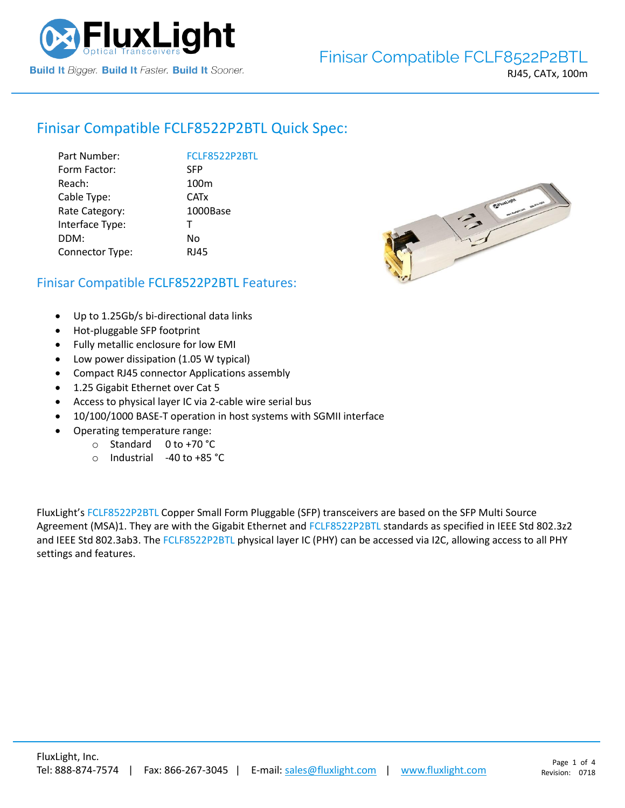

# Finisar Compatible [FCLF8522P2BTL](https://www.fluxlight.com/) Quick Spec:

| Part Number:    | FCLF8522P2BTL          |
|-----------------|------------------------|
| Form Factor:    | <b>SFP</b>             |
| Reach:          | 100 <sub>m</sub>       |
| Cable Type:     | <b>CAT<sub>x</sub></b> |
| Rate Category:  | 1000Base               |
| Interface Type: | т                      |
| DDM:            | No                     |
| Connector Type: | <b>RJ45</b>            |
|                 |                        |



### Finisar Compatible [FCLF8522P2BTL](https://www.fluxlight.com/) Features:

- Up to 1.25Gb/s bi-directional data links
- Hot-pluggable SFP footprint
- Fully metallic enclosure for low EMI
- Low power dissipation (1.05 W typical)
- Compact RJ45 connector Applications assembly
- 1.25 Gigabit Ethernet over Cat 5
- Access to physical layer IC via 2-cable wire serial bus
- 10/100/1000 BASE-T operation in host systems with SGMII interface
- Operating temperature range:
	- o Standard 0 to +70 °C
	- o Industrial -40 to +85 °C

FluxLight's [FCLF8522P2BTL](https://www.fluxlight.com/) Copper Small Form Pluggable (SFP) transceivers are based on the SFP Multi Source Agreement (MSA)1. They are with the Gigabit Ethernet and [FCLF8522P2BTL](https://www.fluxlight.com/) standards as specified in IEEE Std 802.3z2 and IEEE Std 802.3ab3. The [FCLF8522P2BTL](https://www.fluxlight.com/) physical layer IC (PHY) can be accessed via I2C, allowing access to all PHY settings and features.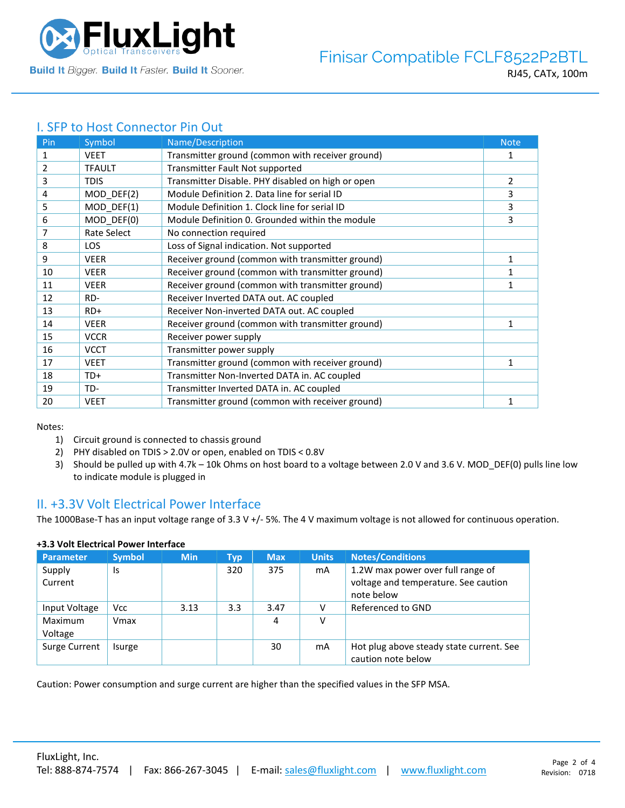

# I. SFP to Host Connector Pin Out

| Pin | Symbol        | Name/Description                                  | <b>Note</b>  |
|-----|---------------|---------------------------------------------------|--------------|
| 1   | <b>VEET</b>   | Transmitter ground (common with receiver ground)  | 1            |
| 2   | <b>TFAULT</b> | Transmitter Fault Not supported                   |              |
| 3   | <b>TDIS</b>   | Transmitter Disable. PHY disabled on high or open | 2            |
| 4   | MOD_DEF(2)    | Module Definition 2. Data line for serial ID      | 3            |
| 5   | MOD_DEF(1)    | Module Definition 1. Clock line for serial ID     | 3            |
| 6   | MOD DEF(0)    | Module Definition 0. Grounded within the module   | 3            |
| 7   | Rate Select   | No connection required                            |              |
| 8   | <b>LOS</b>    | Loss of Signal indication. Not supported          |              |
| 9   | <b>VEER</b>   | Receiver ground (common with transmitter ground)  | 1            |
| 10  | <b>VEER</b>   | Receiver ground (common with transmitter ground)  |              |
| 11  | <b>VEER</b>   | Receiver ground (common with transmitter ground)  | 1            |
| 12  | RD-           | Receiver Inverted DATA out. AC coupled            |              |
| 13  | $RD+$         | Receiver Non-inverted DATA out. AC coupled        |              |
| 14  | <b>VEER</b>   | Receiver ground (common with transmitter ground)  | 1            |
| 15  | <b>VCCR</b>   | Receiver power supply                             |              |
| 16  | <b>VCCT</b>   | Transmitter power supply                          |              |
| 17  | <b>VEET</b>   | Transmitter ground (common with receiver ground)  | 1            |
| 18  | TD+           | Transmitter Non-Inverted DATA in. AC coupled      |              |
| 19  | TD-           | Transmitter Inverted DATA in. AC coupled          |              |
| 20  | <b>VEET</b>   | Transmitter ground (common with receiver ground)  | $\mathbf{1}$ |

Notes:

- 1) Circuit ground is connected to chassis ground
- 2) PHY disabled on TDIS > 2.0V or open, enabled on TDIS < 0.8V
- 3) Should be pulled up with 4.7k 10k Ohms on host board to a voltage between 2.0 V and 3.6 V. MOD\_DEF(0) pulls line low to indicate module is plugged in

### II. +3.3V Volt Electrical Power Interface

The 1000Base-T has an input voltage range of 3.3 V +/- 5%. The 4 V maximum voltage is not allowed for continuous operation.

| <b>Parameter</b>   | <b>Symbol</b> | <b>Min</b> | Typ | <b>Max</b> | <b>Units</b> | <b>Notes/Conditions</b>                                                                 |
|--------------------|---------------|------------|-----|------------|--------------|-----------------------------------------------------------------------------------------|
| Supply<br>Current  | Is            |            | 320 | 375        | mA           | 1.2W max power over full range of<br>voltage and temperature. See caution<br>note below |
| Input Voltage      | <b>Vcc</b>    | 3.13       | 3.3 | 3.47       |              | Referenced to GND                                                                       |
| Maximum<br>Voltage | Vmax          |            |     | 4          | v            |                                                                                         |
| Surge Current      | Isurge        |            |     | 30         | mA           | Hot plug above steady state current. See<br>caution note below                          |

### **+3.3 Volt Electrical Power Interface**

Caution: Power consumption and surge current are higher than the specified values in the SFP MSA.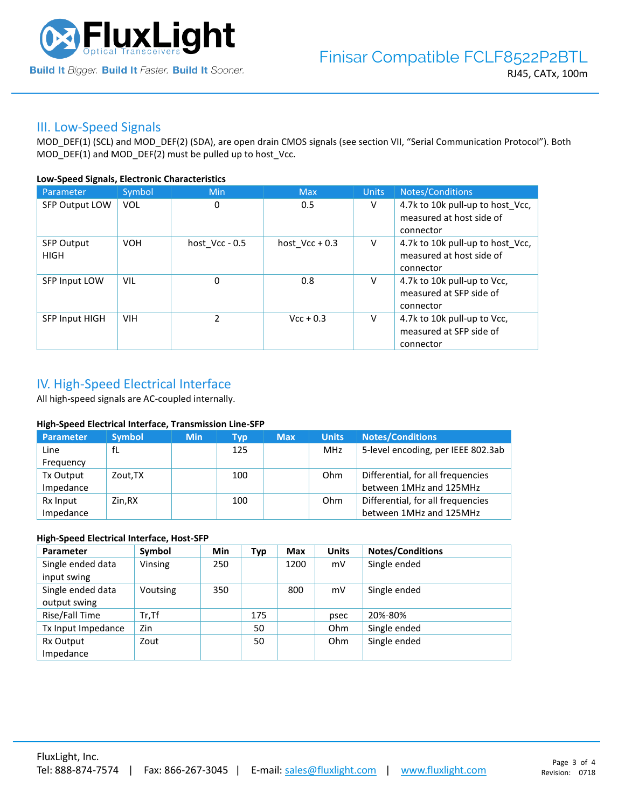

### III. Low-Speed Signals

MOD\_DEF(1) (SCL) and MOD\_DEF(2) (SDA), are open drain CMOS signals (see section VII, "Serial Communication Protocol"). Both MOD\_DEF(1) and MOD\_DEF(2) must be pulled up to host\_Vcc.

#### **Low-Speed Signals, Electronic Characteristics**

| Parameter                        | Symbol     | Min              | <b>Max</b>       | <b>Units</b> | Notes/Conditions                                                          |
|----------------------------------|------------|------------------|------------------|--------------|---------------------------------------------------------------------------|
| <b>SFP Output LOW</b>            | <b>VOL</b> | 0                | 0.5              | V            | 4.7k to 10k pull-up to host_Vcc,<br>measured at host side of<br>connector |
| <b>SFP Output</b><br><b>HIGH</b> | <b>VOH</b> | host $Vcc - 0.5$ | host $Vec + 0.3$ | V            | 4.7k to 10k pull-up to host Vcc,<br>measured at host side of<br>connector |
| SFP Input LOW                    | <b>VIL</b> | 0                | 0.8              | V            | 4.7k to 10k pull-up to Vcc,<br>measured at SFP side of<br>connector       |
| <b>SFP Input HIGH</b>            | <b>VIH</b> | $\mathcal{P}$    | $Vcc + 0.3$      | V            | 4.7k to 10k pull-up to Vcc,<br>measured at SFP side of<br>connector       |

## IV. High-Speed Electrical Interface

All high-speed signals are AC-coupled internally.

#### **High-Speed Electrical Interface, Transmission Line-SFP**

| Parameter | <b>Symbol</b> | <b>Min</b> | Typ | <b>Max</b> | <b>Units</b> | <b>Notes/Conditions</b>            |
|-----------|---------------|------------|-----|------------|--------------|------------------------------------|
| Line      | fL            |            | 125 |            | MHz          | 5-level encoding, per IEEE 802.3ab |
| Frequency |               |            |     |            |              |                                    |
| Tx Output | Zout, TX      |            | 100 |            | Ohm          | Differential, for all frequencies  |
| Impedance |               |            |     |            |              | between 1MHz and 125MHz            |
| Rx Input  | Zin.RX        |            | 100 |            | Ohm          | Differential, for all frequencies  |
| Impedance |               |            |     |            |              | between 1MHz and 125MHz            |

#### **High-Speed Electrical Interface, Host-SFP**

| Parameter          | Symbol   | <b>Min</b> | <b>Typ</b> | <b>Max</b> | <b>Units</b> | <b>Notes/Conditions</b> |
|--------------------|----------|------------|------------|------------|--------------|-------------------------|
| Single ended data  | Vinsing  | 250        |            | 1200       | mV           | Single ended            |
| input swing        |          |            |            |            |              |                         |
| Single ended data  | Voutsing | 350        |            | 800        | mV           | Single ended            |
| output swing       |          |            |            |            |              |                         |
| Rise/Fall Time     | $Tr.$ Tf |            | 175        |            | psec         | 20%-80%                 |
| Tx Input Impedance | Zin      |            | 50         |            | <b>Ohm</b>   | Single ended            |
| Rx Output          | Zout     |            | 50         |            | <b>Ohm</b>   | Single ended            |
| Impedance          |          |            |            |            |              |                         |